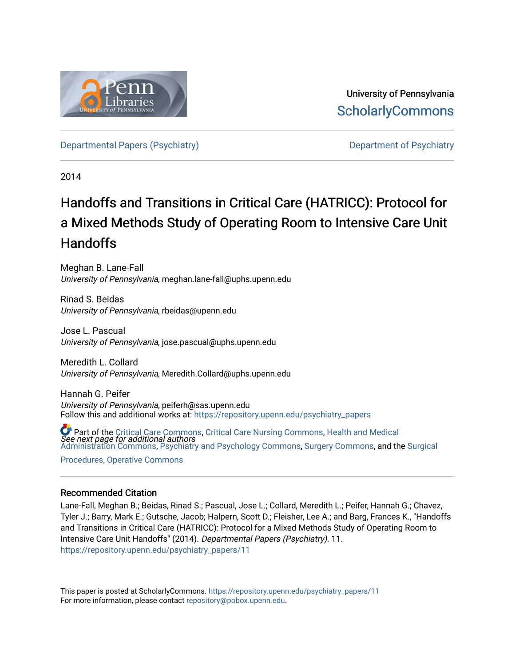

University of Pennsylvania **ScholarlyCommons** 

[Departmental Papers \(Psychiatry\)](https://repository.upenn.edu/psychiatry_papers) [Department of Psychiatry](https://repository.upenn.edu/psychiatry) Department of Psychiatry

2014

# Handoffs and Transitions in Critical Care (HATRICC): Protocol for a Mixed Methods Study of Operating Room to Intensive Care Unit Handoffs

Meghan B. Lane-Fall University of Pennsylvania, meghan.lane-fall@uphs.upenn.edu

Rinad S. Beidas University of Pennsylvania, rbeidas@upenn.edu

Jose L. Pascual University of Pennsylvania, jose.pascual@uphs.upenn.edu

Meredith L. Collard University of Pennsylvania, Meredith.Collard@uphs.upenn.edu

Hannah G. Peifer University of Pennsylvania, peiferh@sas.upenn.edu Follow this and additional works at: [https://repository.upenn.edu/psychiatry\\_papers](https://repository.upenn.edu/psychiatry_papers?utm_source=repository.upenn.edu%2Fpsychiatry_papers%2F11&utm_medium=PDF&utm_campaign=PDFCoverPages)

See next page for additional authors Part of the [Critical Care Commons,](http://network.bepress.com/hgg/discipline/1226?utm_source=repository.upenn.edu%2Fpsychiatry_papers%2F11&utm_medium=PDF&utm_campaign=PDFCoverPages) [Critical Care Nursing Commons](http://network.bepress.com/hgg/discipline/727?utm_source=repository.upenn.edu%2Fpsychiatry_papers%2F11&utm_medium=PDF&utm_campaign=PDFCoverPages), [Health and Medical](http://network.bepress.com/hgg/discipline/663?utm_source=repository.upenn.edu%2Fpsychiatry_papers%2F11&utm_medium=PDF&utm_campaign=PDFCoverPages)  [Administration Commons,](http://network.bepress.com/hgg/discipline/663?utm_source=repository.upenn.edu%2Fpsychiatry_papers%2F11&utm_medium=PDF&utm_campaign=PDFCoverPages) [Psychiatry and Psychology Commons,](http://network.bepress.com/hgg/discipline/908?utm_source=repository.upenn.edu%2Fpsychiatry_papers%2F11&utm_medium=PDF&utm_campaign=PDFCoverPages) [Surgery Commons,](http://network.bepress.com/hgg/discipline/706?utm_source=repository.upenn.edu%2Fpsychiatry_papers%2F11&utm_medium=PDF&utm_campaign=PDFCoverPages) and the [Surgical](http://network.bepress.com/hgg/discipline/974?utm_source=repository.upenn.edu%2Fpsychiatry_papers%2F11&utm_medium=PDF&utm_campaign=PDFCoverPages) 

[Procedures, Operative Commons](http://network.bepress.com/hgg/discipline/974?utm_source=repository.upenn.edu%2Fpsychiatry_papers%2F11&utm_medium=PDF&utm_campaign=PDFCoverPages) 

# Recommended Citation

Lane-Fall, Meghan B.; Beidas, Rinad S.; Pascual, Jose L.; Collard, Meredith L.; Peifer, Hannah G.; Chavez, Tyler J.; Barry, Mark E.; Gutsche, Jacob; Halpern, Scott D.; Fleisher, Lee A.; and Barg, Frances K., "Handoffs and Transitions in Critical Care (HATRICC): Protocol for a Mixed Methods Study of Operating Room to Intensive Care Unit Handoffs" (2014). Departmental Papers (Psychiatry). 11. [https://repository.upenn.edu/psychiatry\\_papers/11](https://repository.upenn.edu/psychiatry_papers/11?utm_source=repository.upenn.edu%2Fpsychiatry_papers%2F11&utm_medium=PDF&utm_campaign=PDFCoverPages) 

This paper is posted at ScholarlyCommons. [https://repository.upenn.edu/psychiatry\\_papers/11](https://repository.upenn.edu/psychiatry_papers/11) For more information, please contact [repository@pobox.upenn.edu.](mailto:repository@pobox.upenn.edu)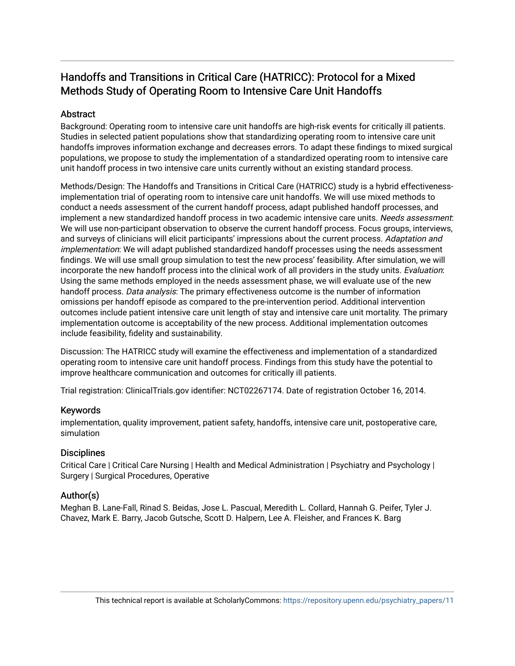# Handoffs and Transitions in Critical Care (HATRICC): Protocol for a Mixed Methods Study of Operating Room to Intensive Care Unit Handoffs

# **Abstract**

Background: Operating room to intensive care unit handoffs are high-risk events for critically ill patients. Studies in selected patient populations show that standardizing operating room to intensive care unit handoffs improves information exchange and decreases errors. To adapt these findings to mixed surgical populations, we propose to study the implementation of a standardized operating room to intensive care unit handoff process in two intensive care units currently without an existing standard process.

Methods/Design: The Handoffs and Transitions in Critical Care (HATRICC) study is a hybrid effectivenessimplementation trial of operating room to intensive care unit handoffs. We will use mixed methods to conduct a needs assessment of the current handoff process, adapt published handoff processes, and implement a new standardized handoff process in two academic intensive care units. Needs assessment: We will use non-participant observation to observe the current handoff process. Focus groups, interviews, and surveys of clinicians will elicit participants' impressions about the current process. Adaptation and implementation: We will adapt published standardized handoff processes using the needs assessment findings. We will use small group simulation to test the new process' feasibility. After simulation, we will incorporate the new handoff process into the clinical work of all providers in the study units. Evaluation: Using the same methods employed in the needs assessment phase, we will evaluate use of the new handoff process. Data analysis: The primary effectiveness outcome is the number of information omissions per handoff episode as compared to the pre-intervention period. Additional intervention outcomes include patient intensive care unit length of stay and intensive care unit mortality. The primary implementation outcome is acceptability of the new process. Additional implementation outcomes include feasibility, fidelity and sustainability.

Discussion: The HATRICC study will examine the effectiveness and implementation of a standardized operating room to intensive care unit handoff process. Findings from this study have the potential to improve healthcare communication and outcomes for critically ill patients.

Trial registration: ClinicalTrials.gov identifier: NCT02267174. Date of registration October 16, 2014.

# Keywords

implementation, quality improvement, patient safety, handoffs, intensive care unit, postoperative care, simulation

# **Disciplines**

Critical Care | Critical Care Nursing | Health and Medical Administration | Psychiatry and Psychology | Surgery | Surgical Procedures, Operative

# Author(s)

Meghan B. Lane-Fall, Rinad S. Beidas, Jose L. Pascual, Meredith L. Collard, Hannah G. Peifer, Tyler J. Chavez, Mark E. Barry, Jacob Gutsche, Scott D. Halpern, Lee A. Fleisher, and Frances K. Barg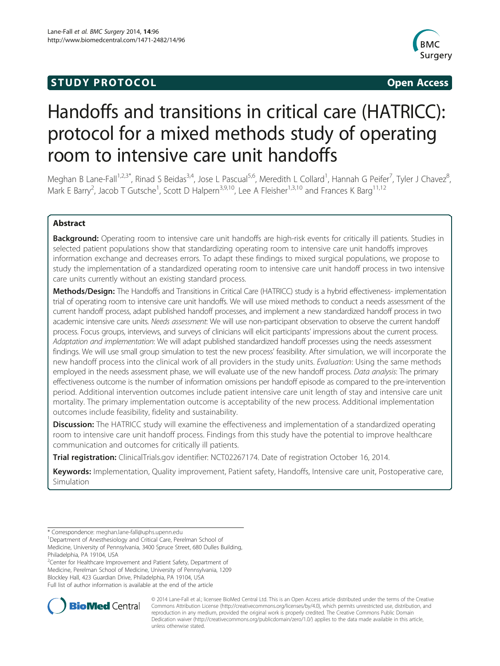# **STUDY PROTOCOL CONSUMING THE STUDY PROTOCOL**



# Handoffs and transitions in critical care (HATRICC): protocol for a mixed methods study of operating room to intensive care unit handoffs

Meghan B Lane-Fall<sup>1,2,3\*</sup>, Rinad S Beidas<sup>3,4</sup>, Jose L Pascual<sup>5,6</sup>, Meredith L Collard<sup>1</sup>, Hannah G Peifer<sup>7</sup>, Tyler J Chavez<sup>8</sup> , Mark E Barry<sup>2</sup>, Jacob T Gutsche<sup>1</sup>, Scott D Halpern<sup>3,9,10</sup>, Lee A Fleisher<sup>1,3,10</sup> and Frances K Barg<sup>11,12</sup>

# Abstract

**Background:** Operating room to intensive care unit handoffs are high-risk events for critically ill patients. Studies in selected patient populations show that standardizing operating room to intensive care unit handoffs improves information exchange and decreases errors. To adapt these findings to mixed surgical populations, we propose to study the implementation of a standardized operating room to intensive care unit handoff process in two intensive care units currently without an existing standard process.

Methods/Design: The Handoffs and Transitions in Critical Care (HATRICC) study is a hybrid effectiveness- implementation trial of operating room to intensive care unit handoffs. We will use mixed methods to conduct a needs assessment of the current handoff process, adapt published handoff processes, and implement a new standardized handoff process in two academic intensive care units. Needs assessment: We will use non-participant observation to observe the current handoff process. Focus groups, interviews, and surveys of clinicians will elicit participants' impressions about the current process. Adaptation and implementation: We will adapt published standardized handoff processes using the needs assessment findings. We will use small group simulation to test the new process' feasibility. After simulation, we will incorporate the new handoff process into the clinical work of all providers in the study units. Evaluation: Using the same methods employed in the needs assessment phase, we will evaluate use of the new handoff process. Data analysis: The primary effectiveness outcome is the number of information omissions per handoff episode as compared to the pre-intervention period. Additional intervention outcomes include patient intensive care unit length of stay and intensive care unit mortality. The primary implementation outcome is acceptability of the new process. Additional implementation outcomes include feasibility, fidelity and sustainability.

**Discussion:** The HATRICC study will examine the effectiveness and implementation of a standardized operating room to intensive care unit handoff process. Findings from this study have the potential to improve healthcare communication and outcomes for critically ill patients.

Trial registration: ClinicalTrials.gov identifier: [NCT02267174](http://www.clinicaltrials.gov/ct2/show/NCT02267174?term=NCT02267174&rank=1). Date of registration October 16, 2014.

Keywords: Implementation, Quality improvement, Patient safety, Handoffs, Intensive care unit, Postoperative care, Simulation

<sup>2</sup> Center for Healthcare Improvement and Patient Safety, Department of Medicine, Perelman School of Medicine, University of Pennsylvania, 1209 Blockley Hall, 423 Guardian Drive, Philadelphia, PA 19104, USA Full list of author information is available at the end of the article



© 2014 Lane-Fall et al.; licensee BioMed Central Ltd. This is an Open Access article distributed under the terms of the Creative Commons Attribution License [\(http://creativecommons.org/licenses/by/4.0\)](http://creativecommons.org/licenses/by/4.0), which permits unrestricted use, distribution, and reproduction in any medium, provided the original work is properly credited. The Creative Commons Public Domain Dedication waiver [\(http://creativecommons.org/publicdomain/zero/1.0/](http://creativecommons.org/publicdomain/zero/1.0/)) applies to the data made available in this article, unless otherwise stated.

<sup>\*</sup> Correspondence: [meghan.lane-fall@uphs.upenn.edu](mailto:meghan.lane-fall@uphs.upenn.edu) <sup>1</sup>

<sup>&</sup>lt;sup>1</sup>Department of Anesthesiology and Critical Care, Perelman School of

Medicine, University of Pennsylvania, 3400 Spruce Street, 680 Dulles Building, Philadelphia, PA 19104, USA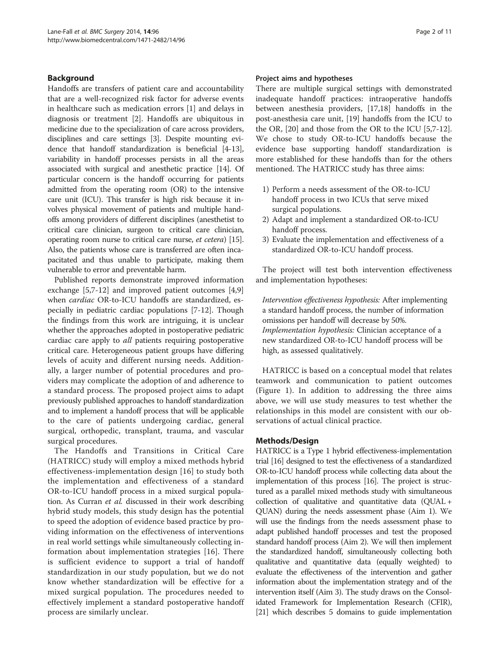# Background

Handoffs are transfers of patient care and accountability that are a well-recognized risk factor for adverse events in healthcare such as medication errors [\[1](#page-11-0)] and delays in diagnosis or treatment [\[2](#page-12-0)]. Handoffs are ubiquitous in medicine due to the specialization of care across providers, disciplines and care settings [\[3\]](#page-12-0). Despite mounting evidence that handoff standardization is beneficial [[4](#page-12-0)-[13](#page-12-0)], variability in handoff processes persists in all the areas associated with surgical and anesthetic practice [\[14](#page-12-0)]. Of particular concern is the handoff occurring for patients admitted from the operating room (OR) to the intensive care unit (ICU). This transfer is high risk because it involves physical movement of patients and multiple handoffs among providers of different disciplines (anesthetist to critical care clinician, surgeon to critical care clinician, operating room nurse to critical care nurse, et cetera) [\[15](#page-12-0)]. Also, the patients whose care is transferred are often incapacitated and thus unable to participate, making them vulnerable to error and preventable harm.

Published reports demonstrate improved information exchange [[5,7-12](#page-12-0)] and improved patient outcomes [\[4,9](#page-12-0)] when cardiac OR-to-ICU handoffs are standardized, especially in pediatric cardiac populations [[7-12](#page-12-0)]. Though the findings from this work are intriguing, it is unclear whether the approaches adopted in postoperative pediatric cardiac care apply to all patients requiring postoperative critical care. Heterogeneous patient groups have differing levels of acuity and different nursing needs. Additionally, a larger number of potential procedures and providers may complicate the adoption of and adherence to a standard process. The proposed project aims to adapt previously published approaches to handoff standardization and to implement a handoff process that will be applicable to the care of patients undergoing cardiac, general surgical, orthopedic, transplant, trauma, and vascular surgical procedures.

The Handoffs and Transitions in Critical Care (HATRICC) study will employ a mixed methods hybrid effectiveness-implementation design [[16\]](#page-12-0) to study both the implementation and effectiveness of a standard OR-to-ICU handoff process in a mixed surgical population. As Curran et al. discussed in their work describing hybrid study models, this study design has the potential to speed the adoption of evidence based practice by providing information on the effectiveness of interventions in real world settings while simultaneously collecting information about implementation strategies [\[16](#page-12-0)]. There is sufficient evidence to support a trial of handoff standardization in our study population, but we do not know whether standardization will be effective for a mixed surgical population. The procedures needed to effectively implement a standard postoperative handoff process are similarly unclear.

#### Project aims and hypotheses

There are multiple surgical settings with demonstrated inadequate handoff practices: intraoperative handoffs between anesthesia providers, [[17,18\]](#page-12-0) handoffs in the post-anesthesia care unit, [[19\]](#page-12-0) handoffs from the ICU to the OR, [[20\]](#page-12-0) and those from the OR to the ICU [[5,7-12](#page-12-0)]. We chose to study OR-to-ICU handoffs because the evidence base supporting handoff standardization is more established for these handoffs than for the others mentioned. The HATRICC study has three aims:

- 1) Perform a needs assessment of the OR-to-ICU handoff process in two ICUs that serve mixed surgical populations.
- 2) Adapt and implement a standardized OR-to-ICU handoff process.
- 3) Evaluate the implementation and effectiveness of a standardized OR-to-ICU handoff process.

The project will test both intervention effectiveness and implementation hypotheses:

Intervention effectiveness hypothesis: After implementing a standard handoff process, the number of information omissions per handoff will decrease by 50%. Implementation hypothesis: Clinician acceptance of a new standardized OR-to-ICU handoff process will be high, as assessed qualitatively.

HATRICC is based on a conceptual model that relates teamwork and communication to patient outcomes (Figure [1\)](#page-4-0). In addition to addressing the three aims above, we will use study measures to test whether the relationships in this model are consistent with our observations of actual clinical practice.

### Methods/Design

HATRICC is a Type 1 hybrid effectiveness-implementation trial [[16](#page-12-0)] designed to test the effectiveness of a standardized OR-to-ICU handoff process while collecting data about the implementation of this process [[16\]](#page-12-0). The project is structured as a parallel mixed methods study with simultaneous collection of qualitative and quantitative data (QUAL + QUAN) during the needs assessment phase (Aim 1). We will use the findings from the needs assessment phase to adapt published handoff processes and test the proposed standard handoff process (Aim 2). We will then implement the standardized handoff, simultaneously collecting both qualitative and quantitative data (equally weighted) to evaluate the effectiveness of the intervention and gather information about the implementation strategy and of the intervention itself (Aim 3). The study draws on the Consolidated Framework for Implementation Research (CFIR), [[21](#page-12-0)] which describes 5 domains to guide implementation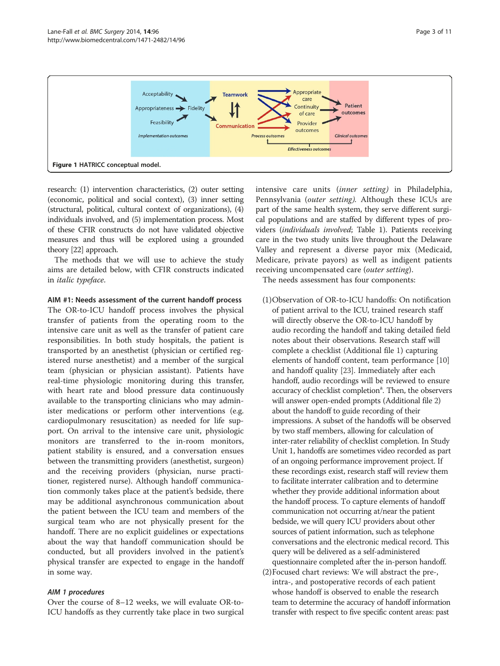

<span id="page-4-0"></span>

research: (1) intervention characteristics, (2) outer setting (economic, political and social context), (3) inner setting (structural, political, cultural context of organizations), (4) individuals involved, and (5) implementation process. Most of these CFIR constructs do not have validated objective measures and thus will be explored using a grounded theory [\[22\]](#page-12-0) approach.

The methods that we will use to achieve the study aims are detailed below, with CFIR constructs indicated in italic typeface.

AIM #1: Needs assessment of the current handoff process

The OR-to-ICU handoff process involves the physical transfer of patients from the operating room to the intensive care unit as well as the transfer of patient care responsibilities. In both study hospitals, the patient is transported by an anesthetist (physician or certified registered nurse anesthetist) and a member of the surgical team (physician or physician assistant). Patients have real-time physiologic monitoring during this transfer, with heart rate and blood pressure data continuously available to the transporting clinicians who may administer medications or perform other interventions (e.g. cardiopulmonary resuscitation) as needed for life support. On arrival to the intensive care unit, physiologic monitors are transferred to the in-room monitors, patient stability is ensured, and a conversation ensues between the transmitting providers (anesthetist, surgeon) and the receiving providers (physician, nurse practitioner, registered nurse). Although handoff communication commonly takes place at the patient's bedside, there may be additional asynchronous communication about the patient between the ICU team and members of the surgical team who are not physically present for the handoff. There are no explicit guidelines or expectations about the way that handoff communication should be conducted, but all providers involved in the patient's physical transfer are expected to engage in the handoff in some way.

### AIM 1 procedures

Over the course of 8–12 weeks, we will evaluate OR-to-ICU handoffs as they currently take place in two surgical

intensive care units (inner setting) in Philadelphia, Pennsylvania (outer setting). Although these ICUs are part of the same health system, they serve different surgical populations and are staffed by different types of providers (individuals involved; Table [1](#page-5-0)). Patients receiving care in the two study units live throughout the Delaware Valley and represent a diverse payor mix (Medicaid, Medicare, private payors) as well as indigent patients receiving uncompensated care (outer setting).

The needs assessment has four components:

- (1)Observation of OR-to-ICU handoffs: On notification of patient arrival to the ICU, trained research staff will directly observe the OR-to-ICU handoff by audio recording the handoff and taking detailed field notes about their observations. Research staff will complete a checklist (Additional file [1](#page-11-0)) capturing elements of handoff content, team performance [\[10\]](#page-12-0) and handoff quality [[23](#page-12-0)]. Immediately after each handoff, audio recordings will be reviewed to ensure accuracy of checklist completion<sup>a</sup>. Then, the observers will answer open-ended prompts (Additional file [2](#page-11-0)) about the handoff to guide recording of their impressions. A subset of the handoffs will be observed by two staff members, allowing for calculation of inter-rater reliability of checklist completion. In Study Unit 1, handoffs are sometimes video recorded as part of an ongoing performance improvement project. If these recordings exist, research staff will review them to facilitate interrater calibration and to determine whether they provide additional information about the handoff process. To capture elements of handoff communication not occurring at/near the patient bedside, we will query ICU providers about other sources of patient information, such as telephone conversations and the electronic medical record. This query will be delivered as a self-administered questionnaire completed after the in-person handoff.
- (2)Focused chart reviews: We will abstract the pre-, intra-, and postoperative records of each patient whose handoff is observed to enable the research team to determine the accuracy of handoff information transfer with respect to five specific content areas: past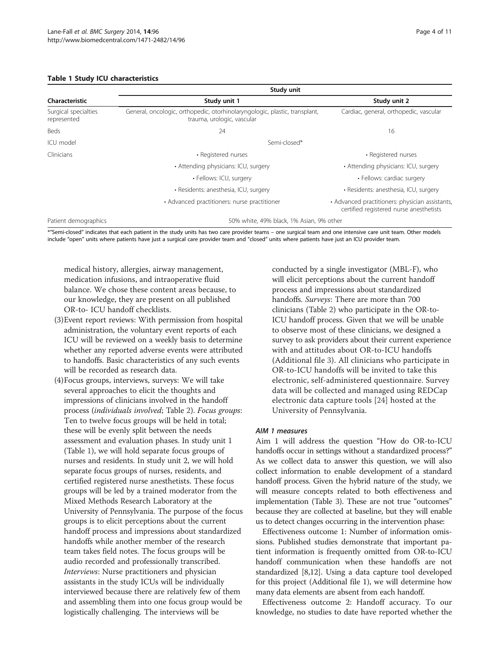#### <span id="page-5-0"></span>Table 1 Study ICU characteristics

|                                     | Study unit                                                                                               |                                                                                            |  |
|-------------------------------------|----------------------------------------------------------------------------------------------------------|--------------------------------------------------------------------------------------------|--|
| Characteristic                      | Study unit 1                                                                                             | Study unit 2                                                                               |  |
| Surgical specialties<br>represented | General, oncologic, orthopedic, otorhinolaryngologic, plastic, transplant,<br>trauma, urologic, vascular | Cardiac, general, orthopedic, vascular                                                     |  |
| Beds                                | 24                                                                                                       | 16                                                                                         |  |
| ICU model                           | Semi-closed*                                                                                             |                                                                                            |  |
| Clinicians                          | • Registered nurses                                                                                      | • Registered nurses                                                                        |  |
|                                     | • Attending physicians: ICU, surgery                                                                     | • Attending physicians: ICU, surgery                                                       |  |
|                                     | • Fellows: ICU, surgery                                                                                  | • Fellows: cardiac surgery                                                                 |  |
|                                     | • Residents: anesthesia, ICU, surgery                                                                    | · Residents: anesthesia, ICU, surgery                                                      |  |
|                                     | • Advanced practitioners: nurse practitioner                                                             | • Advanced practitioners: physician assistants,<br>certified registered nurse anesthetists |  |
| Patient demographics                | 50% white, 49% black, 1% Asian, 9% other                                                                 |                                                                                            |  |

\*"Semi-closed" indicates that each patient in the study units has two care provider teams – one surgical team and one intensive care unit team. Other models include "open" units where patients have just a surgical care provider team and "closed" units where patients have just an ICU provider team.

medical history, allergies, airway management, medication infusions, and intraoperative fluid balance. We chose these content areas because, to our knowledge, they are present on all published OR-to- ICU handoff checklists.

- (3)Event report reviews: With permission from hospital administration, the voluntary event reports of each ICU will be reviewed on a weekly basis to determine whether any reported adverse events were attributed to handoffs. Basic characteristics of any such events will be recorded as research data.
- (4)Focus groups, interviews, surveys: We will take several approaches to elicit the thoughts and impressions of clinicians involved in the handoff process (individuals involved; Table [2](#page-6-0)). Focus groups: Ten to twelve focus groups will be held in total; these will be evenly split between the needs assessment and evaluation phases. In study unit 1 (Table 1), we will hold separate focus groups of nurses and residents. In study unit 2, we will hold separate focus groups of nurses, residents, and certified registered nurse anesthetists. These focus groups will be led by a trained moderator from the Mixed Methods Research Laboratory at the University of Pennsylvania. The purpose of the focus groups is to elicit perceptions about the current handoff process and impressions about standardized handoffs while another member of the research team takes field notes. The focus groups will be audio recorded and professionally transcribed. Interviews: Nurse practitioners and physician assistants in the study ICUs will be individually interviewed because there are relatively few of them and assembling them into one focus group would be logistically challenging. The interviews will be

conducted by a single investigator (MBL-F), who will elicit perceptions about the current handoff process and impressions about standardized handoffs. Surveys: There are more than 700 clinicians (Table [2](#page-6-0)) who participate in the OR-to-ICU handoff process. Given that we will be unable to observe most of these clinicians, we designed a survey to ask providers about their current experience with and attitudes about OR-to-ICU handoffs (Additional file [3\)](#page-11-0). All clinicians who participate in OR-to-ICU handoffs will be invited to take this electronic, self-administered questionnaire. Survey data will be collected and managed using REDCap electronic data capture tools [[24](#page-12-0)] hosted at the University of Pennsylvania.

## AIM 1 measures

Aim 1 will address the question "How do OR-to-ICU handoffs occur in settings without a standardized process?" As we collect data to answer this question, we will also collect information to enable development of a standard handoff process. Given the hybrid nature of the study, we will measure concepts related to both effectiveness and implementation (Table [3](#page-7-0)). These are not true "outcomes" because they are collected at baseline, but they will enable us to detect changes occurring in the intervention phase:

Effectiveness outcome 1: Number of information omissions. Published studies demonstrate that important patient information is frequently omitted from OR-to-ICU handoff communication when these handoffs are not standardized [\[8,12](#page-12-0)]. Using a data capture tool developed for this project (Additional file [1](#page-11-0)), we will determine how many data elements are absent from each handoff.

Effectiveness outcome 2: Handoff accuracy. To our knowledge, no studies to date have reported whether the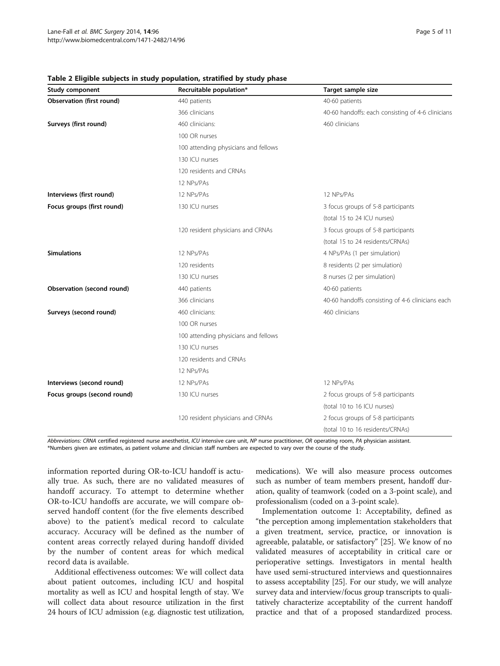| Page 5 of 11 |  |  |
|--------------|--|--|
|              |  |  |

<span id="page-6-0"></span>

| Study component             | Recruitable population*              | Target sample size                                |
|-----------------------------|--------------------------------------|---------------------------------------------------|
| Observation (first round)   | 440 patients                         | 40-60 patients                                    |
|                             | 366 clinicians                       | 40-60 handoffs: each consisting of 4-6 clinicians |
| Surveys (first round)       | 460 clinicians:                      | 460 clinicians                                    |
|                             | 100 OR nurses                        |                                                   |
|                             | 100 attending physicians and fellows |                                                   |
|                             | 130 ICU nurses                       |                                                   |
|                             | 120 residents and CRNAs              |                                                   |
|                             | 12 NPs/PAs                           |                                                   |
| Interviews (first round)    | 12 NPs/PAs                           | 12 NPs/PAs                                        |
| Focus groups (first round)  | 130 ICU nurses                       | 3 focus groups of 5-8 participants                |
|                             |                                      | (total 15 to 24 ICU nurses)                       |
|                             | 120 resident physicians and CRNAs    | 3 focus groups of 5-8 participants                |
|                             |                                      | (total 15 to 24 residents/CRNAs)                  |
| <b>Simulations</b>          | 12 NPs/PAs                           | 4 NPs/PAs (1 per simulation)                      |
|                             | 120 residents                        | 8 residents (2 per simulation)                    |
|                             | 130 ICU nurses                       | 8 nurses (2 per simulation)                       |
| Observation (second round)  | 440 patients                         | 40-60 patients                                    |
|                             | 366 clinicians                       | 40-60 handoffs consisting of 4-6 clinicians each  |
| Surveys (second round)      | 460 clinicians:                      | 460 clinicians                                    |
|                             | 100 OR nurses                        |                                                   |
|                             | 100 attending physicians and fellows |                                                   |
|                             | 130 ICU nurses                       |                                                   |
|                             | 120 residents and CRNAs              |                                                   |
|                             | 12 NPs/PAs                           |                                                   |
| Interviews (second round)   | 12 NPs/PAs                           | 12 NPs/PAs                                        |
| Focus groups (second round) | 130 ICU nurses                       | 2 focus groups of 5-8 participants                |
|                             |                                      | (total 10 to 16 ICU nurses)                       |
|                             | 120 resident physicians and CRNAs    | 2 focus groups of 5-8 participants                |
|                             |                                      | (total 10 to 16 residents/CRNAs)                  |

Abbreviations: CRNA certified registered nurse anesthetist, ICU intensive care unit, NP nurse practitioner, OR operating room, PA physician assistant. \*Numbers given are estimates, as patient volume and clinician staff numbers are expected to vary over the course of the study.

information reported during OR-to-ICU handoff is actually true. As such, there are no validated measures of handoff accuracy. To attempt to determine whether OR-to-ICU handoffs are accurate, we will compare observed handoff content (for the five elements described above) to the patient's medical record to calculate accuracy. Accuracy will be defined as the number of content areas correctly relayed during handoff divided by the number of content areas for which medical record data is available.

Additional effectiveness outcomes: We will collect data about patient outcomes, including ICU and hospital mortality as well as ICU and hospital length of stay. We will collect data about resource utilization in the first 24 hours of ICU admission (e.g. diagnostic test utilization, medications). We will also measure process outcomes such as number of team members present, handoff duration, quality of teamwork (coded on a 3-point scale), and professionalism (coded on a 3-point scale).

Implementation outcome 1: Acceptability, defined as "the perception among implementation stakeholders that a given treatment, service, practice, or innovation is agreeable, palatable, or satisfactory" [\[25](#page-12-0)]. We know of no validated measures of acceptability in critical care or perioperative settings. Investigators in mental health have used semi-structured interviews and questionnaires to assess acceptability [[25](#page-12-0)]. For our study, we will analyze survey data and interview/focus group transcripts to qualitatively characterize acceptability of the current handoff practice and that of a proposed standardized process.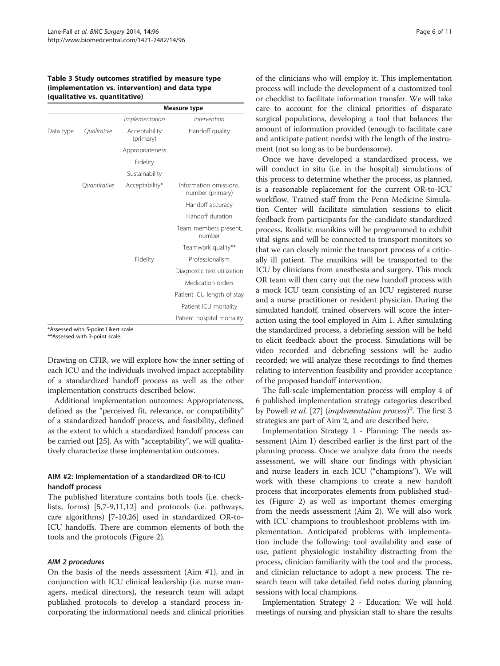## <span id="page-7-0"></span>Table 3 Study outcomes stratified by measure type (implementation vs. intervention) and data type (qualitative vs. quantitative)

|           |                                  | Measure type               |                                            |
|-----------|----------------------------------|----------------------------|--------------------------------------------|
|           |                                  | Implementation             | Intervention                               |
| Data type | <i><u><b>Ouglitative</b></u></i> | Acceptability<br>(primary) | Handoff quality                            |
|           |                                  | Appropriateness            |                                            |
|           |                                  | Fidelity                   |                                            |
|           |                                  | Sustainability             |                                            |
|           | Ouantitative                     | Acceptability*             | Information omissions,<br>number (primary) |
|           |                                  |                            | Handoff accuracy                           |
|           |                                  |                            | Handoff duration                           |
|           |                                  |                            | Team members present,<br>number            |
|           |                                  |                            | Teamwork quality**                         |
|           |                                  | Fidelity                   | Professionalism                            |
|           |                                  |                            | Diagnostic test utilization                |
|           |                                  |                            | Medication orders                          |
|           |                                  |                            | Patient ICU length of stay                 |
|           |                                  |                            | Patient ICU mortality                      |
|           |                                  |                            | Patient hospital mortality                 |

\*Assessed with 5-point Likert scale.

\*\*Assessed with 3-point scale.

Drawing on CFIR, we will explore how the inner setting of each ICU and the individuals involved impact acceptability of a standardized handoff process as well as the other implementation constructs described below.

Additional implementation outcomes: Appropriateness, defined as the "perceived fit, relevance, or compatibility" of a standardized handoff process, and feasibility, defined as the extent to which a standardized handoff process can be carried out [[25\]](#page-12-0). As with "acceptability", we will qualitatively characterize these implementation outcomes.

# AIM #2: Implementation of a standardized OR-to-ICU handoff process

The published literature contains both tools (i.e. checklists, forms) [\[5,7](#page-12-0)-[9,11,12\]](#page-12-0) and protocols (i.e. pathways, care algorithms) [\[7](#page-12-0)-[10,26](#page-12-0)] used in standardized OR-to-ICU handoffs. There are common elements of both the tools and the protocols (Figure [2](#page-8-0)).

### AIM 2 procedures

On the basis of the needs assessment (Aim  $#1$ ), and in conjunction with ICU clinical leadership (i.e. nurse managers, medical directors), the research team will adapt published protocols to develop a standard process incorporating the informational needs and clinical priorities

of the clinicians who will employ it. This implementation process will include the development of a customized tool or checklist to facilitate information transfer. We will take care to account for the clinical priorities of disparate surgical populations, developing a tool that balances the amount of information provided (enough to facilitate care and anticipate patient needs) with the length of the instrument (not so long as to be burdensome).

Once we have developed a standardized process, we will conduct in situ (i.e. in the hospital) simulations of this process to determine whether the process, as planned, is a reasonable replacement for the current OR-to-ICU workflow. Trained staff from the Penn Medicine Simulation Center will facilitate simulation sessions to elicit feedback from participants for the candidate standardized process. Realistic manikins will be programmed to exhibit vital signs and will be connected to transport monitors so that we can closely mimic the transport process of a critically ill patient. The manikins will be transported to the ICU by clinicians from anesthesia and surgery. This mock OR team will then carry out the new handoff process with a mock ICU team consisting of an ICU registered nurse and a nurse practitioner or resident physician. During the simulated handoff, trained observers will score the interaction using the tool employed in Aim 1. After simulating the standardized process, a debriefing session will be held to elicit feedback about the process. Simulations will be video recorded and debriefing sessions will be audio recorded; we will analyze these recordings to find themes relating to intervention feasibility and provider acceptance of the proposed handoff intervention.

The full-scale implementation process will employ 4 of 6 published implementation strategy categories described by Powell et al. [\[27\]](#page-12-0) (implementation process)<sup>b</sup>. The first 3 strategies are part of Aim 2, and are described here.

Implementation Strategy 1 - Planning: The needs assessment (Aim 1) described earlier is the first part of the planning process. Once we analyze data from the needs assessment, we will share our findings with physician and nurse leaders in each ICU ("champions"). We will work with these champions to create a new handoff process that incorporates elements from published studies (Figure [2\)](#page-8-0) as well as important themes emerging from the needs assessment (Aim 2). We will also work with ICU champions to troubleshoot problems with implementation. Anticipated problems with implementation include the following: tool availability and ease of use, patient physiologic instability distracting from the process, clinician familiarity with the tool and the process, and clinician reluctance to adopt a new process. The research team will take detailed field notes during planning sessions with local champions.

Implementation Strategy 2 - Education: We will hold meetings of nursing and physician staff to share the results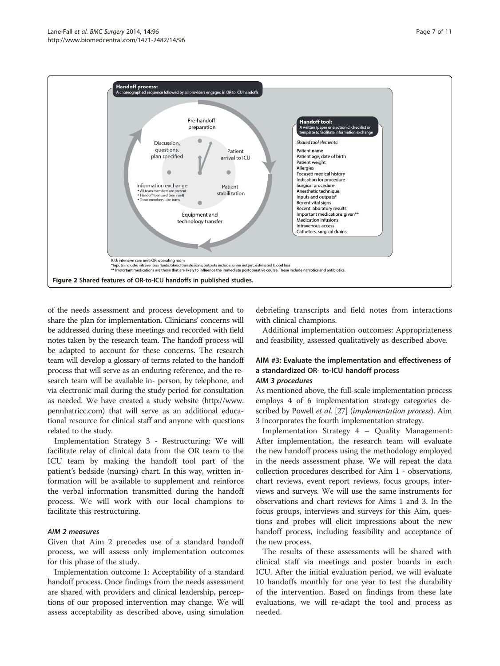<span id="page-8-0"></span>

of the needs assessment and process development and to share the plan for implementation. Clinicians' concerns will be addressed during these meetings and recorded with field notes taken by the research team. The handoff process will be adapted to account for these concerns. The research team will develop a glossary of terms related to the handoff process that will serve as an enduring reference, and the research team will be available in- person, by telephone, and via electronic mail during the study period for consultation as needed. We have created a study website ([http://www.](http://www.pennhatricc.com) [pennhatricc.com](http://www.pennhatricc.com)) that will serve as an additional educational resource for clinical staff and anyone with questions related to the study.

Implementation Strategy 3 - Restructuring: We will facilitate relay of clinical data from the OR team to the ICU team by making the handoff tool part of the patient's bedside (nursing) chart. In this way, written information will be available to supplement and reinforce the verbal information transmitted during the handoff process. We will work with our local champions to facilitate this restructuring.

# AIM 2 measures

Given that Aim 2 precedes use of a standard handoff process, we will assess only implementation outcomes for this phase of the study.

Implementation outcome 1: Acceptability of a standard handoff process. Once findings from the needs assessment are shared with providers and clinical leadership, perceptions of our proposed intervention may change. We will assess acceptability as described above, using simulation

debriefing transcripts and field notes from interactions with clinical champions.

Additional implementation outcomes: Appropriateness and feasibility, assessed qualitatively as described above.

## AIM #3: Evaluate the implementation and effectiveness of a standardized OR- to-ICU handoff process AIM 3 procedures

As mentioned above, the full-scale implementation process employs 4 of 6 implementation strategy categories de-scribed by Powell et al. [\[27\]](#page-12-0) (implementation process). Aim 3 incorporates the fourth implementation strategy.

Implementation Strategy 4 – Quality Management: After implementation, the research team will evaluate the new handoff process using the methodology employed in the needs assessment phase. We will repeat the data collection procedures described for Aim 1 - observations, chart reviews, event report reviews, focus groups, interviews and surveys. We will use the same instruments for observations and chart reviews for Aims 1 and 3. In the focus groups, interviews and surveys for this Aim, questions and probes will elicit impressions about the new handoff process, including feasibility and acceptance of the new process.

The results of these assessments will be shared with clinical staff via meetings and poster boards in each ICU. After the initial evaluation period, we will evaluate 10 handoffs monthly for one year to test the durability of the intervention. Based on findings from these late evaluations, we will re-adapt the tool and process as needed.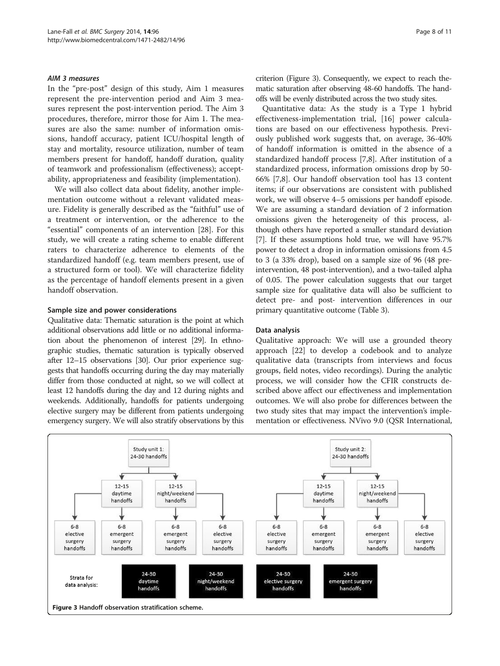#### AIM 3 measures

In the "pre-post" design of this study, Aim 1 measures represent the pre-intervention period and Aim 3 measures represent the post-intervention period. The Aim 3 procedures, therefore, mirror those for Aim 1. The measures are also the same: number of information omissions, handoff accuracy, patient ICU/hospital length of stay and mortality, resource utilization, number of team members present for handoff, handoff duration, quality of teamwork and professionalism (effectiveness); acceptability, appropriateness and feasibility (implementation).

We will also collect data about fidelity, another implementation outcome without a relevant validated measure. Fidelity is generally described as the "faithful" use of a treatment or intervention, or the adherence to the "essential" components of an intervention [[28\]](#page-12-0). For this study, we will create a rating scheme to enable different raters to characterize adherence to elements of the standardized handoff (e.g. team members present, use of a structured form or tool). We will characterize fidelity as the percentage of handoff elements present in a given handoff observation.

#### Sample size and power considerations

Qualitative data: Thematic saturation is the point at which additional observations add little or no additional information about the phenomenon of interest [\[29](#page-12-0)]. In ethnographic studies, thematic saturation is typically observed after 12–15 observations [\[30\]](#page-12-0). Our prior experience suggests that handoffs occurring during the day may materially differ from those conducted at night, so we will collect at least 12 handoffs during the day and 12 during nights and weekends. Additionally, handoffs for patients undergoing elective surgery may be different from patients undergoing emergency surgery. We will also stratify observations by this criterion (Figure 3). Consequently, we expect to reach thematic saturation after observing 48-60 handoffs. The handoffs will be evenly distributed across the two study sites.

Quantitative data: As the study is a Type 1 hybrid effectiveness-implementation trial, [\[16](#page-12-0)] power calculations are based on our effectiveness hypothesis. Previously published work suggests that, on average, 36-40% of handoff information is omitted in the absence of a standardized handoff process [[7,8\]](#page-12-0). After institution of a standardized process, information omissions drop by 50- 66% [\[7,8](#page-12-0)]. Our handoff observation tool has 13 content items; if our observations are consistent with published work, we will observe 4–5 omissions per handoff episode. We are assuming a standard deviation of 2 information omissions given the heterogeneity of this process, although others have reported a smaller standard deviation [[7\]](#page-12-0). If these assumptions hold true, we will have 95.7% power to detect a drop in information omissions from 4.5 to 3 (a 33% drop), based on a sample size of 96 (48 preintervention, 48 post-intervention), and a two-tailed alpha of 0.05. The power calculation suggests that our target sample size for qualitative data will also be sufficient to detect pre- and post- intervention differences in our primary quantitative outcome (Table [3\)](#page-7-0).

#### Data analysis

Qualitative approach: We will use a grounded theory approach [\[22\]](#page-12-0) to develop a codebook and to analyze qualitative data (transcripts from interviews and focus groups, field notes, video recordings). During the analytic process, we will consider how the CFIR constructs described above affect our effectiveness and implementation outcomes. We will also probe for differences between the two study sites that may impact the intervention's implementation or effectiveness. NVivo 9.0 (QSR International,

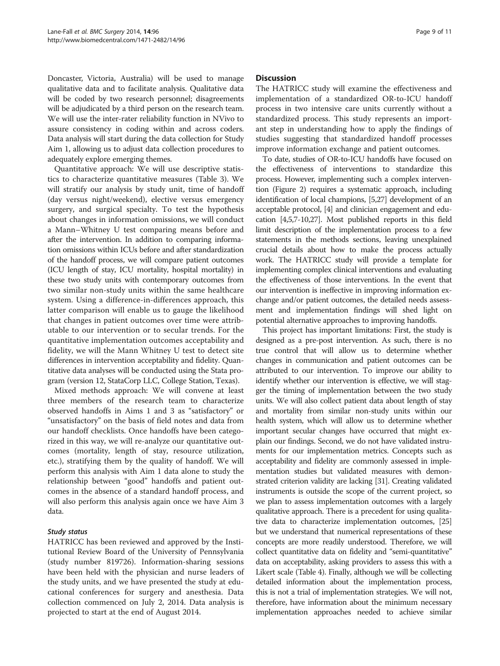Doncaster, Victoria, Australia) will be used to manage qualitative data and to facilitate analysis. Qualitative data will be coded by two research personnel; disagreements will be adjudicated by a third person on the research team. We will use the inter-rater reliability function in NVivo to assure consistency in coding within and across coders. Data analysis will start during the data collection for Study Aim 1, allowing us to adjust data collection procedures to adequately explore emerging themes.

Quantitative approach: We will use descriptive statistics to characterize quantitative measures (Table [3](#page-7-0)). We will stratify our analysis by study unit, time of handoff (day versus night/weekend), elective versus emergency surgery, and surgical specialty. To test the hypothesis about changes in information omissions, we will conduct a Mann–Whitney U test comparing means before and after the intervention. In addition to comparing information omissions within ICUs before and after standardization of the handoff process, we will compare patient outcomes (ICU length of stay, ICU mortality, hospital mortality) in these two study units with contemporary outcomes from two similar non-study units within the same healthcare system. Using a difference-in-differences approach, this latter comparison will enable us to gauge the likelihood that changes in patient outcomes over time were attributable to our intervention or to secular trends. For the quantitative implementation outcomes acceptability and fidelity, we will the Mann Whitney U test to detect site differences in intervention acceptability and fidelity. Quantitative data analyses will be conducted using the Stata program (version 12, StataCorp LLC, College Station, Texas).

Mixed methods approach: We will convene at least three members of the research team to characterize observed handoffs in Aims 1 and 3 as "satisfactory" or "unsatisfactory" on the basis of field notes and data from our handoff checklists. Once handoffs have been categorized in this way, we will re-analyze our quantitative outcomes (mortality, length of stay, resource utilization, etc.), stratifying them by the quality of handoff. We will perform this analysis with Aim 1 data alone to study the relationship between "good" handoffs and patient outcomes in the absence of a standard handoff process, and will also perform this analysis again once we have Aim 3 data.

# Study status

HATRICC has been reviewed and approved by the Institutional Review Board of the University of Pennsylvania (study number 819726). Information-sharing sessions have been held with the physician and nurse leaders of the study units, and we have presented the study at educational conferences for surgery and anesthesia. Data collection commenced on July 2, 2014. Data analysis is projected to start at the end of August 2014.

## **Discussion**

The HATRICC study will examine the effectiveness and implementation of a standardized OR-to-ICU handoff process in two intensive care units currently without a standardized process. This study represents an important step in understanding how to apply the findings of studies suggesting that standardized handoff processes improve information exchange and patient outcomes.

To date, studies of OR-to-ICU handoffs have focused on the effectiveness of interventions to standardize this process. However, implementing such a complex intervention (Figure [2\)](#page-8-0) requires a systematic approach, including identification of local champions, [\[5,27](#page-12-0)] development of an acceptable protocol, [\[4\]](#page-12-0) and clinician engagement and education [[4,5,7-10,27\]](#page-12-0). Most published reports in this field limit description of the implementation process to a few statements in the methods sections, leaving unexplained crucial details about how to make the process actually work. The HATRICC study will provide a template for implementing complex clinical interventions and evaluating the effectiveness of those interventions. In the event that our intervention is ineffective in improving information exchange and/or patient outcomes, the detailed needs assessment and implementation findings will shed light on potential alternative approaches to improving handoffs.

This project has important limitations: First, the study is designed as a pre-post intervention. As such, there is no true control that will allow us to determine whether changes in communication and patient outcomes can be attributed to our intervention. To improve our ability to identify whether our intervention is effective, we will stagger the timing of implementation between the two study units. We will also collect patient data about length of stay and mortality from similar non-study units within our health system, which will allow us to determine whether important secular changes have occurred that might explain our findings. Second, we do not have validated instruments for our implementation metrics. Concepts such as acceptability and fidelity are commonly assessed in implementation studies but validated measures with demonstrated criterion validity are lacking [[31](#page-12-0)]. Creating validated instruments is outside the scope of the current project, so we plan to assess implementation outcomes with a largely qualitative approach. There is a precedent for using qualitative data to characterize implementation outcomes, [\[25](#page-12-0)] but we understand that numerical representations of these concepts are more readily understood. Therefore, we will collect quantitative data on fidelity and "semi-quantitative" data on acceptability, asking providers to assess this with a Likert scale (Table [4\)](#page-11-0). Finally, although we will be collecting detailed information about the implementation process, this is not a trial of implementation strategies. We will not, therefore, have information about the minimum necessary implementation approaches needed to achieve similar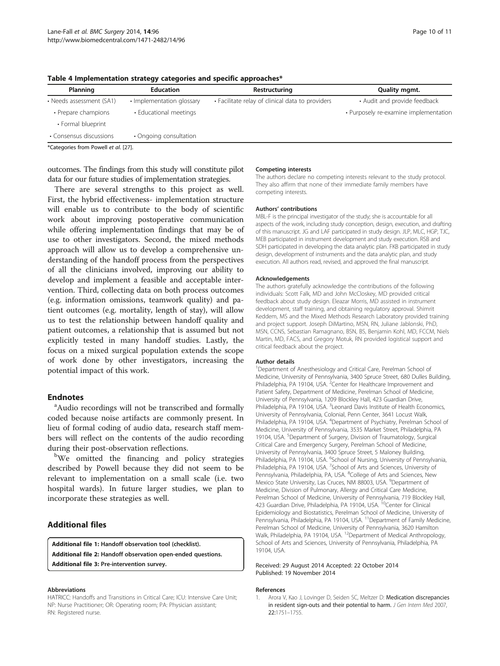| Planning                            | <b>Education</b>          | Restructuring                                    | Quality mgmt.                         |
|-------------------------------------|---------------------------|--------------------------------------------------|---------------------------------------|
| • Needs assessment (SA1)            | • Implementation glossary | • Facilitate relay of clinical data to providers | • Audit and provide feedback          |
| • Prepare champions                 | • Educational meetings    |                                                  | • Purposely re-examine implementation |
| • Formal blueprint                  |                           |                                                  |                                       |
| • Consensus discussions             | • Ongoing consultation    |                                                  |                                       |
| *Catogorias from Bouroll at al [27] |                           |                                                  |                                       |

<span id="page-11-0"></span>Table 4 Implementation strategy categories and specific approaches\*

ategories from Powell *et al*. [\[27](#page-12-0)].

outcomes. The findings from this study will constitute pilot data for our future studies of implementation strategies.

There are several strengths to this project as well. First, the hybrid effectiveness- implementation structure will enable us to contribute to the body of scientific work about improving postoperative communication while offering implementation findings that may be of use to other investigators. Second, the mixed methods approach will allow us to develop a comprehensive understanding of the handoff process from the perspectives of all the clinicians involved, improving our ability to develop and implement a feasible and acceptable intervention. Third, collecting data on both process outcomes (e.g. information omissions, teamwork quality) and patient outcomes (e.g. mortality, length of stay), will allow us to test the relationship between handoff quality and patient outcomes, a relationship that is assumed but not explicitly tested in many handoff studies. Lastly, the focus on a mixed surgical population extends the scope of work done by other investigators, increasing the potential impact of this work.

### **Endnotes**

<sup>a</sup> Audio recordings will not be transcribed and formally coded because noise artifacts are commonly present. In lieu of formal coding of audio data, research staff members will reflect on the contents of the audio recording during their post-observation reflections.

bWe omitted the financing and policy strategies described by Powell because they did not seem to be relevant to implementation on a small scale (i.e. two hospital wards). In future larger studies, we plan to incorporate these strategies as well.

# Additional files

[Additional file 1:](http://www.biomedcentral.com/content/supplementary/1471-2482-14-96-S1.pdf) Handoff observation tool (checklist).

[Additional file 2:](http://www.biomedcentral.com/content/supplementary/1471-2482-14-96-S2.pdf) Handoff observation open-ended questions.

[Additional file 3:](http://www.biomedcentral.com/content/supplementary/1471-2482-14-96-S3.pdf) Pre-intervention survey.

#### Abbreviations

HATRICC: Handoffs and Transitions in Critical Care; ICU: Intensive Care Unit; NP: Nurse Practitioner; OR: Operating room; PA: Physician assistant; RN: Registered nurse.

#### Competing interests

The authors declare no competing interests relevant to the study protocol. They also affirm that none of their immediate family members have competing interests.

#### Authors' contributions

MBL-F is the principal investigator of the study; she is accountable for all aspects of the work, including study conception, design, execution, and drafting of this manuscript. JG and LAF participated in study design. JLP, MLC, HGP, TJC, MEB participated in instrument development and study execution. RSB and SDH participated in developing the data analytic plan. FKB participated in study design, development of instruments and the data analytic plan, and study execution. All authors read, revised, and approved the final manuscript.

#### Acknowledgements

The authors gratefully acknowledge the contributions of the following individuals: Scott Falk, MD and John McCloskey, MD provided critical feedback about study design. Eleazar Morris, MD assisted in instrument development, staff training, and obtaining regulatory approval. Shimrit Keddem, MS and the Mixed Methods Research Laboratory provided training and project support. Joseph DiMartino, MSN, RN, Juliane Jablonski, PhD, MSN, CCNS, Sebastian Ramagnano, BSN, BS, Benjamin Kohl, MD, FCCM, Niels Martin, MD, FACS, and Gregory Motuk, RN provided logistical support and critical feedback about the project.

#### Author details

<sup>1</sup>Department of Anesthesiology and Critical Care, Perelman School of Medicine, University of Pennsylvania, 3400 Spruce Street, 680 Dulles Building, Philadelphia, PA 19104, USA. <sup>2</sup> Center for Healthcare Improvement and Patient Safety, Department of Medicine, Perelman School of Medicine, University of Pennsylvania, 1209 Blockley Hall, 423 Guardian Drive, Philadelphia, PA 19104, USA. <sup>3</sup> Leonard Davis Institute of Health Economics, University of Pennsylvania, Colonial, Penn Center, 3641 Locust Walk, Philadelphia, PA 19104, USA. <sup>4</sup>Department of Psychiatry, Perelman School of Medicine, University of Pennsylvania, 3535 Market Street, Philadelphia, PA 19104, USA. <sup>5</sup>Department of Surgery, Division of Traumatology, Surgical Critical Care and Emergency Surgery, Perelman School of Medicine, University of Pennsylvania, 3400 Spruce Street, 5 Maloney Building, Philadelphia, PA 19104, USA. <sup>6</sup>School of Nursing, University of Pennsylvania Philadelphia, PA 19104, USA. <sup>7</sup> School of Arts and Sciences, University of Pennsylvania, Philadelphia, PA, USA. <sup>8</sup>College of Arts and Sciences, New Mexico State University, Las Cruces, NM 88003, USA. <sup>9</sup>Department of Medicine, Division of Pulmonary, Allergy and Critical Care Medicine, Perelman School of Medicine, University of Pennsylvania, 719 Blockley Hall, 423 Guardian Drive, Philadelphia, PA 19104, USA. <sup>10</sup>Center for Clinical Epidemiology and Biostatistics, Perelman School of Medicine, University of Pennsylvania, Philadelphia, PA 19104, USA. <sup>11</sup>Department of Family Medicine, Perelman School of Medicine, University of Pennsylvania, 3620 Hamilton Walk, Philadelphia, PA 19104, USA. <sup>12</sup>Department of Medical Anthropology, School of Arts and Sciences, University of Pennsylvania, Philadelphia, PA 19104, USA.

#### Received: 29 August 2014 Accepted: 22 October 2014 Published: 19 November 2014

#### References

1. Arora V, Kao J, Lovinger D, Seiden SC, Meltzer D: Medication discrepancies in resident sign-outs and their potential to harm. J Gen Intern Med 2007, 22:1751–1755.